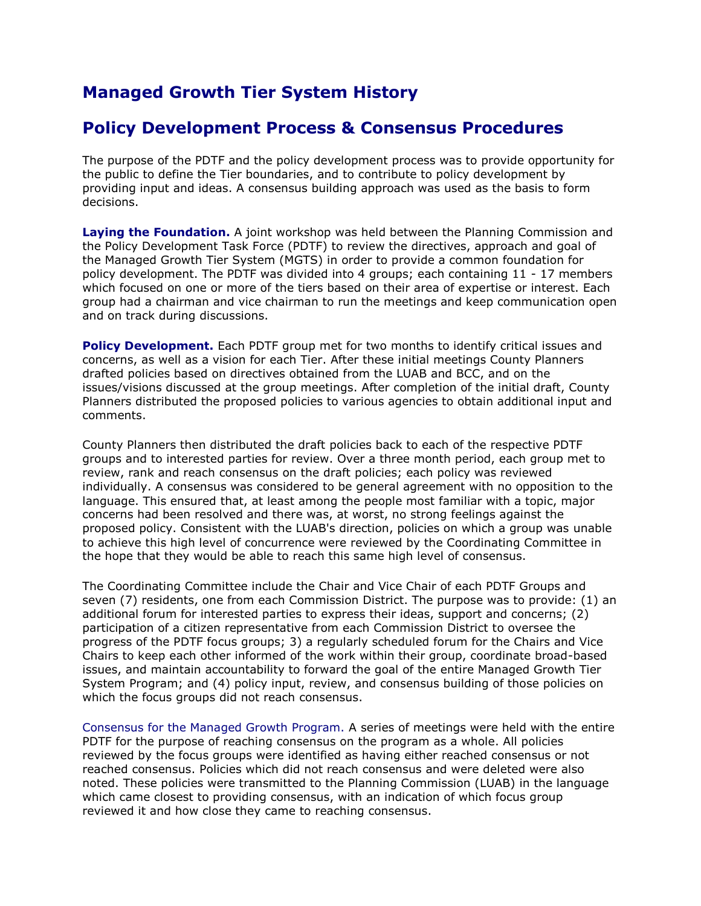## **Managed Growth Tier System History**

## **Policy Development Process & Consensus Procedures**

The purpose of the PDTF and the policy development process was to provide opportunity for the public to define the Tier boundaries, and to contribute to policy development by providing input and ideas. A consensus building approach was used as the basis to form decisions.

**Laying the Foundation.** A joint workshop was held between the Planning Commission and the Policy Development Task Force (PDTF) to review the directives, approach and goal of the Managed Growth Tier System (MGTS) in order to provide a common foundation for policy development. The PDTF was divided into 4 groups; each containing 11 - 17 members which focused on one or more of the tiers based on their area of expertise or interest. Each group had a chairman and vice chairman to run the meetings and keep communication open and on track during discussions.

**Policy Development.** Each PDTF group met for two months to identify critical issues and concerns, as well as a vision for each Tier. After these initial meetings County Planners drafted policies based on directives obtained from the LUAB and BCC, and on the issues/visions discussed at the group meetings. After completion of the initial draft, County Planners distributed the proposed policies to various agencies to obtain additional input and comments.

County Planners then distributed the draft policies back to each of the respective PDTF groups and to interested parties for review. Over a three month period, each group met to review, rank and reach consensus on the draft policies; each policy was reviewed individually. A consensus was considered to be general agreement with no opposition to the language. This ensured that, at least among the people most familiar with a topic, major concerns had been resolved and there was, at worst, no strong feelings against the proposed policy. Consistent with the LUAB's direction, policies on which a group was unable to achieve this high level of concurrence were reviewed by the Coordinating Committee in the hope that they would be able to reach this same high level of consensus.

The Coordinating Committee include the Chair and Vice Chair of each PDTF Groups and seven (7) residents, one from each Commission District. The purpose was to provide: (1) an additional forum for interested parties to express their ideas, support and concerns; (2) participation of a citizen representative from each Commission District to oversee the progress of the PDTF focus groups; 3) a regularly scheduled forum for the Chairs and Vice Chairs to keep each other informed of the work within their group, coordinate broad-based issues, and maintain accountability to forward the goal of the entire Managed Growth Tier System Program; and (4) policy input, review, and consensus building of those policies on which the focus groups did not reach consensus.

Consensus for the Managed Growth Program. A series of meetings were held with the entire PDTF for the purpose of reaching consensus on the program as a whole. All policies reviewed by the focus groups were identified as having either reached consensus or not reached consensus. Policies which did not reach consensus and were deleted were also noted. These policies were transmitted to the Planning Commission (LUAB) in the language which came closest to providing consensus, with an indication of which focus group reviewed it and how close they came to reaching consensus.